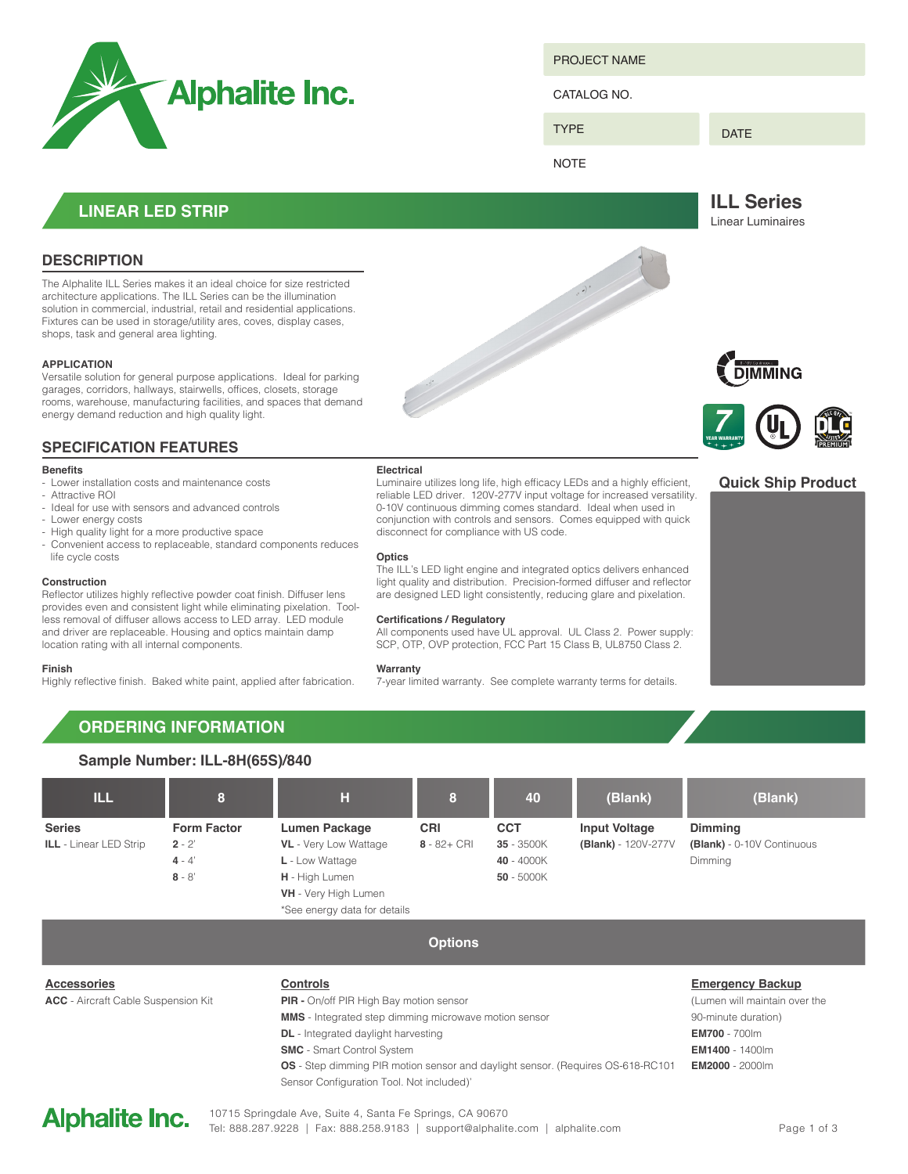

PROJECT NAME

CATALOG NO.

DATE

**NOTE** 

TYPE

**ILL Series**

Linear Luminaires

## **LINEAR LED STRIP**

## **DESCRIPTION**

The Alphalite ILL Series makes it an ideal choice for size restricted architecture applications. The ILL Series can be the illumination solution in commercial, industrial, retail and residential applications. Fixtures can be used in storage/utility ares, coves, display cases, shops, task and general area lighting.

#### **APPLICATION**

Versatile solution for general purpose applications. Ideal for parking garages, corridors, hallways, stairwells, offices, closets, storage rooms, warehouse, manufacturing facilities, and spaces that demand energy demand reduction and high quality light.

## **SPECIFICATION FEATURES**

#### **Benefits**

- Lower installation costs and maintenance costs

- Attractive ROI
- Ideal for use with sensors and advanced controls
- Lower energy costs
- High quality light for a more productive space
- Convenient access to replaceable, standard components reduces life cycle costs

#### **Construction**

Reflector utilizes highly reflective powder coat finish. Diffuser lens provides even and consistent light while eliminating pixelation. Toolless removal of diffuser allows access to LED array. LED module and driver are replaceable. Housing and optics maintain damp location rating with all internal components.

#### **Finish**

Highly reflective finish. Baked white paint, applied after fabrication.

#### **Electrical**

Luminaire utilizes long life, high efficacy LEDs and a highly efficient, reliable LED driver. 120V-277V input voltage for increased versatility. 0-10V continuous dimming comes standard. Ideal when used in conjunction with controls and sensors. Comes equipped with quick disconnect for compliance with US code.

#### **Optics**

The ILL's LED light engine and integrated optics delivers enhanced light quality and distribution. Precision-formed diffuser and reflector are designed LED light consistently, reducing glare and pixelation.

#### **Certifications / Regulatory**

All components used have UL approval. UL Class 2. Power supply: SCP, OTP, OVP protection, FCC Part 15 Class B, UL8750 Class 2.

#### **Warranty**

7-year limited warranty. See complete warranty terms for details.





### **Quick Ship Product**



# **ORDERING INFORMATION**



**Options**

**Controls PIR -** On/off PIR High Bay motion sensor **MMS** - Integrated step dimming microwave motion sensor **DL** - Integrated daylight harvesting **SMC** - Smart Control System **OS** - Step dimming PIR motion sensor and daylight sensor. (Requires OS-618-RC101 Sensor Configuration Tool. Not included)'



**ACC** - Aircraft Cable Suspension Kit

**Accessories**

**Emergency Backup** (Lumen will maintain over the 90-minute duration) **EM700** - 700lm **EM1400** - 1400lm **EM2000** - 2000lm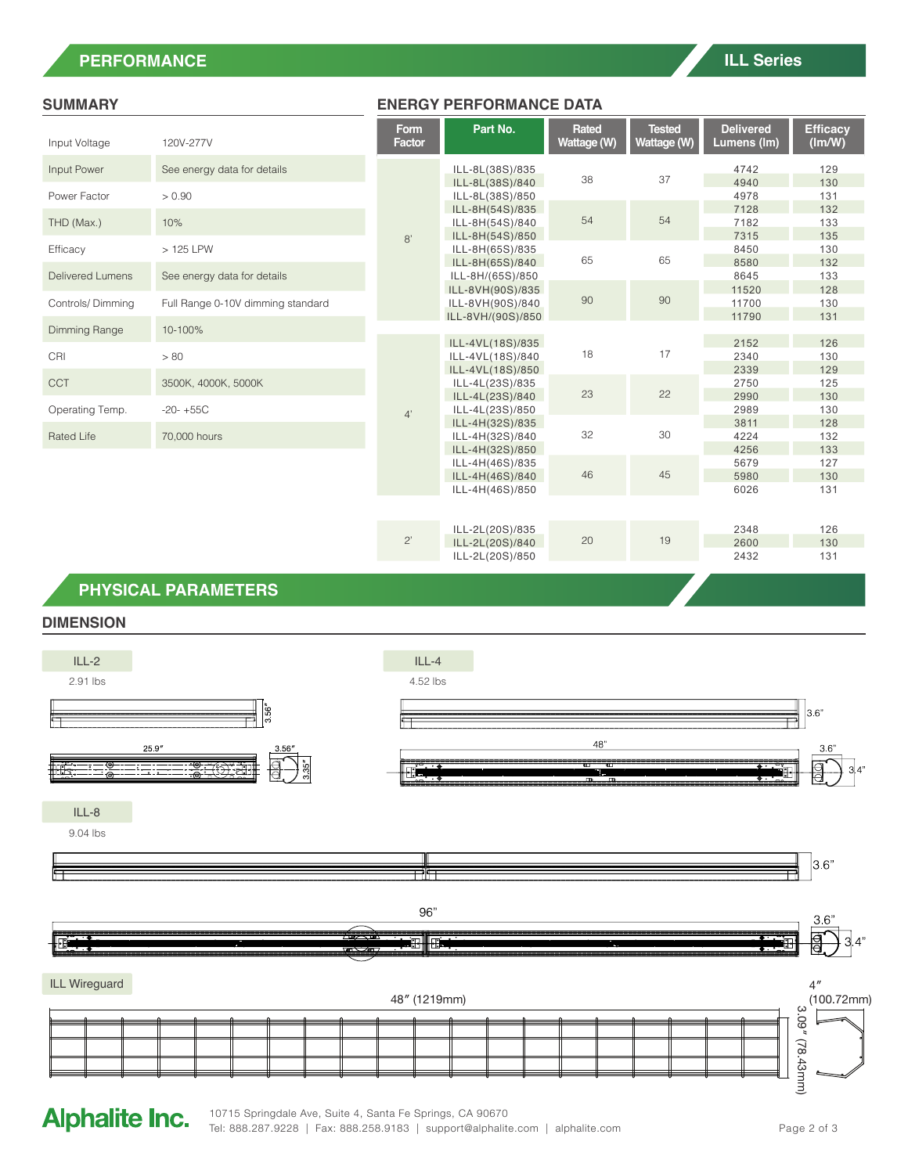## **PERFORMANCE**

| Input Voltage              | 120V-277V                         |  |  |  |
|----------------------------|-----------------------------------|--|--|--|
| Input Power                | See energy data for details       |  |  |  |
| Power Factor<br>THD (Max.) | > 0.90                            |  |  |  |
|                            | 10%                               |  |  |  |
| Efficacy                   | > 125 LPW                         |  |  |  |
| <b>Delivered Lumens</b>    | See energy data for details       |  |  |  |
| Controls/Dimming           | Full Range 0-10V dimming standard |  |  |  |
| Dimming Range              | 10-100%                           |  |  |  |
| CRI                        | > 80                              |  |  |  |
| <b>CCT</b>                 | 3500K, 4000K, 5000K               |  |  |  |
| Operating Temp.            | $-20-+55C$                        |  |  |  |
| Rated Life                 | 70,000 hours                      |  |  |  |

### **SUMMARY ENERGY PERFORMANCE DATA**

|      | <b>Form</b><br>Factor | Part No.                                                  | Rated<br>Wattage (W) | <b>Tested</b><br>Wattage (W) | <b>Delivered</b><br>Lumens (Im) | <b>Efficacy</b><br>(lm/W) |
|------|-----------------------|-----------------------------------------------------------|----------------------|------------------------------|---------------------------------|---------------------------|
|      | 8'                    | ILL-8L(38S)/835<br>ILL-8L(38S)/840<br>ILL-8L(38S)/850     | 38                   | 37                           | 4742<br>4940<br>4978            | 129<br>130<br>131         |
|      |                       | ILL-8H(54S)/835<br>ILL-8H(54S)/840<br>ILL-8H(54S)/850     | 54                   | 54                           | 7128<br>7182<br>7315            | 132<br>133<br>135         |
|      |                       | ILL-8H(65S)/835<br>ILL-8H(65S)/840<br>ILL-8H/(65S)/850    | 65                   | 65                           | 8450<br>8580<br>8645            | 130<br>132<br>133         |
| dard |                       | ILL-8VH(90S)/835<br>ILL-8VH(90S)/840<br>ILL-8VH/(90S)/850 | 90                   | 90                           | 11520<br>11700<br>11790         | 128<br>130<br>131         |
|      | 4'                    | ILL-4VL(18S)/835<br>ILL-4VL(18S)/840<br>ILL-4VL(18S)/850  | 18                   | 17                           | 2152<br>2340<br>2339            | 126<br>130<br>129         |
|      |                       | ILL-4L(23S)/835<br>ILL-4L(23S)/840<br>ILL-4L(23S)/850     | 23                   | 22                           | 2750<br>2990<br>2989            | 125<br>130<br>130         |
|      |                       | ILL-4H(32S)/835<br>ILL-4H(32S)/840<br>ILL-4H(32S)/850     | 32                   | 30                           | 3811<br>4224<br>4256            | 128<br>132<br>133         |
|      |                       | ILL-4H(46S)/835<br>ILL-4H(46S)/840<br>ILL-4H(46S)/850     | 46                   | 45                           | 5679<br>5980<br>6026            | 127<br>130<br>131         |
|      |                       |                                                           |                      |                              |                                 |                           |
|      | $2^{\prime}$          | ILL-2L(20S)/835<br>ILL-2L(20S)/840<br>ILL-2L(20S)/850     | 20                   | 19                           | 2348<br>2600<br>2432            | 126<br>130<br>131         |

## **PHYSICAL PARAMETERS**

## **DIMENSION**



# **Alphalite Inc.**